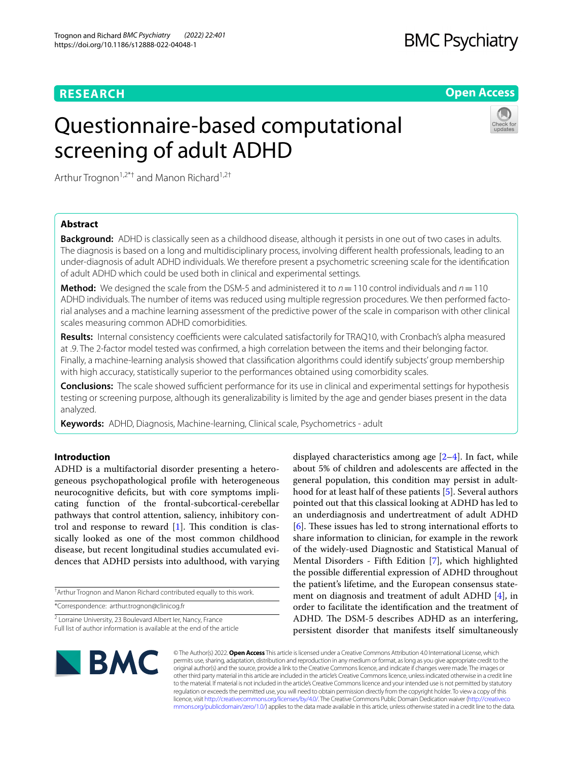# **RESEARCH**

# **BMC Psychiatry**

**Open Access**

# Questionnaire-based computational screening of adult ADHD



Arthur Trognon<sup>1,2\*†</sup> and Manon Richard<sup>1,2†</sup>

# **Abstract**

**Background:** ADHD is classically seen as a childhood disease, although it persists in one out of two cases in adults. The diagnosis is based on a long and multidisciplinary process, involving diferent health professionals, leading to an under-diagnosis of adult ADHD individuals. We therefore present a psychometric screening scale for the identifcation of adult ADHD which could be used both in clinical and experimental settings.

**Method:** We designed the scale from the DSM-5 and administered it to  $n = 110$  control individuals and  $n = 110$ ADHD individuals. The number of items was reduced using multiple regression procedures. We then performed factorial analyses and a machine learning assessment of the predictive power of the scale in comparison with other clinical scales measuring common ADHD comorbidities.

**Results:** Internal consistency coefficients were calculated satisfactorily for TRAQ10, with Cronbach's alpha measured at .9. The 2-factor model tested was confrmed, a high correlation between the items and their belonging factor. Finally, a machine-learning analysis showed that classifcation algorithms could identify subjects' group membership with high accuracy, statistically superior to the performances obtained using comorbidity scales.

**Conclusions:** The scale showed sufficient performance for its use in clinical and experimental settings for hypothesis testing or screening purpose, although its generalizability is limited by the age and gender biases present in the data analyzed.

**Keywords:** ADHD, Diagnosis, Machine-learning, Clinical scale, Psychometrics - adult

# **Introduction**

ADHD is a multifactorial disorder presenting a heterogeneous psychopathological profle with heterogeneous neurocognitive deficits, but with core symptoms implicating function of the frontal-subcortical-cerebellar pathways that control attention, saliency, inhibitory control and response to reward  $[1]$  $[1]$ . This condition is classically looked as one of the most common childhood disease, but recent longitudinal studies accumulated evidences that ADHD persists into adulthood, with varying

† Arthur Trognon and Manon Richard contributed equally to this work.

\*Correspondence: arthur.trognon@clinicog.fr

<sup>2</sup> Lorraine University, 23 Boulevard Albert Ier, Nancy, France Full list of author information is available at the end of the article displayed characteristics among age  $[2-4]$  $[2-4]$  $[2-4]$ . In fact, while about 5% of children and adolescents are afected in the general population, this condition may persist in adulthood for at least half of these patients [\[5](#page-6-3)]. Several authors pointed out that this classical looking at ADHD has led to an underdiagnosis and undertreatment of adult ADHD  $[6]$  $[6]$ . These issues has led to strong international efforts to share information to clinician, for example in the rework of the widely-used Diagnostic and Statistical Manual of Mental Disorders - Fifth Edition [\[7](#page-6-5)], which highlighted the possible diferential expression of ADHD throughout the patient's lifetime, and the European consensus statement on diagnosis and treatment of adult ADHD [\[4\]](#page-6-2), in order to facilitate the identifcation and the treatment of ADHD. The DSM-5 describes ADHD as an interfering, persistent disorder that manifests itself simultaneously



© The Author(s) 2022. **Open Access** This article is licensed under a Creative Commons Attribution 4.0 International License, which permits use, sharing, adaptation, distribution and reproduction in any medium or format, as long as you give appropriate credit to the original author(s) and the source, provide a link to the Creative Commons licence, and indicate if changes were made. The images or other third party material in this article are included in the article's Creative Commons licence, unless indicated otherwise in a credit line to the material. If material is not included in the article's Creative Commons licence and your intended use is not permitted by statutory regulation or exceeds the permitted use, you will need to obtain permission directly from the copyright holder. To view a copy of this licence, visit [http://creativecommons.org/licenses/by/4.0/.](http://creativecommons.org/licenses/by/4.0/) The Creative Commons Public Domain Dedication waiver ([http://creativeco](http://creativecommons.org/publicdomain/zero/1.0/) [mmons.org/publicdomain/zero/1.0/](http://creativecommons.org/publicdomain/zero/1.0/)) applies to the data made available in this article, unless otherwise stated in a credit line to the data.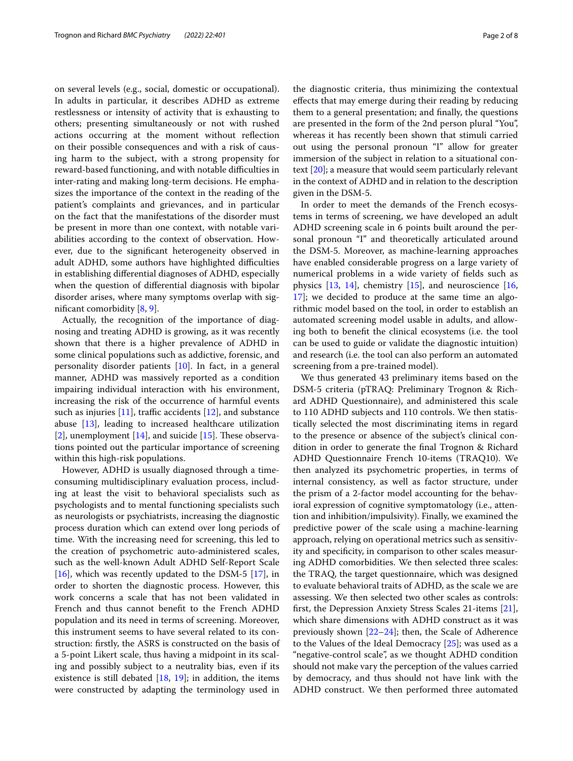on several levels (e.g., social, domestic or occupational). In adults in particular, it describes ADHD as extreme restlessness or intensity of activity that is exhausting to others; presenting simultaneously or not with rushed actions occurring at the moment without refection on their possible consequences and with a risk of causing harm to the subject, with a strong propensity for reward-based functioning, and with notable difficulties in inter-rating and making long-term decisions. He emphasizes the importance of the context in the reading of the patient's complaints and grievances, and in particular on the fact that the manifestations of the disorder must be present in more than one context, with notable variabilities according to the context of observation. However, due to the signifcant heterogeneity observed in adult ADHD, some authors have highlighted difficulties in establishing diferential diagnoses of ADHD, especially when the question of diferential diagnosis with bipolar disorder arises, where many symptoms overlap with signifcant comorbidity [[8,](#page-6-6) [9](#page-6-7)].

Actually, the recognition of the importance of diagnosing and treating ADHD is growing, as it was recently shown that there is a higher prevalence of ADHD in some clinical populations such as addictive, forensic, and personality disorder patients [[10\]](#page-6-8). In fact, in a general manner, ADHD was massively reported as a condition impairing individual interaction with his environment, increasing the risk of the occurrence of harmful events such as injuries  $[11]$  $[11]$ , traffic accidents  $[12]$  $[12]$  $[12]$ , and substance abuse [\[13](#page-7-1)], leading to increased healthcare utilization [[2\]](#page-6-1), unemployment  $[14]$  $[14]$ , and suicide  $[15]$  $[15]$ . These observations pointed out the particular importance of screening within this high-risk populations.

However, ADHD is usually diagnosed through a timeconsuming multidisciplinary evaluation process, including at least the visit to behavioral specialists such as psychologists and to mental functioning specialists such as neurologists or psychiatrists, increasing the diagnostic process duration which can extend over long periods of time. With the increasing need for screening, this led to the creation of psychometric auto-administered scales, such as the well-known Adult ADHD Self-Report Scale [[16\]](#page-7-4), which was recently updated to the DSM-5 [[17\]](#page-7-5), in order to shorten the diagnostic process. However, this work concerns a scale that has not been validated in French and thus cannot beneft to the French ADHD population and its need in terms of screening. Moreover, this instrument seems to have several related to its construction: frstly, the ASRS is constructed on the basis of a 5-point Likert scale, thus having a midpoint in its scaling and possibly subject to a neutrality bias, even if its existence is still debated [\[18](#page-7-6), [19\]](#page-7-7); in addition, the items were constructed by adapting the terminology used in the diagnostic criteria, thus minimizing the contextual efects that may emerge during their reading by reducing them to a general presentation; and fnally, the questions are presented in the form of the 2nd person plural "You", whereas it has recently been shown that stimuli carried out using the personal pronoun "I" allow for greater immersion of the subject in relation to a situational context [[20\]](#page-7-8); a measure that would seem particularly relevant in the context of ADHD and in relation to the description given in the DSM-5.

In order to meet the demands of the French ecosystems in terms of screening, we have developed an adult ADHD screening scale in 6 points built around the personal pronoun "I" and theoretically articulated around the DSM-5. Moreover, as machine-learning approaches have enabled considerable progress on a large variety of numerical problems in a wide variety of felds such as physics  $[13, 14]$  $[13, 14]$  $[13, 14]$  $[13, 14]$ , chemistry  $[15]$ , and neuroscience  $[16, 16]$  $[16, 16]$  $[16, 16]$ [17\]](#page-7-5); we decided to produce at the same time an algorithmic model based on the tool, in order to establish an automated screening model usable in adults, and allowing both to beneft the clinical ecosystems (i.e. the tool can be used to guide or validate the diagnostic intuition) and research (i.e. the tool can also perform an automated screening from a pre-trained model).

We thus generated 43 preliminary items based on the DSM-5 criteria (pTRAQ: Preliminary Trognon & Richard ADHD Questionnaire), and administered this scale to 110 ADHD subjects and 110 controls. We then statistically selected the most discriminating items in regard to the presence or absence of the subject's clinical condition in order to generate the fnal Trognon & Richard ADHD Questionnaire French 10-items (TRAQ10). We then analyzed its psychometric properties, in terms of internal consistency, as well as factor structure, under the prism of a 2-factor model accounting for the behavioral expression of cognitive symptomatology (i.e., attention and inhibition/impulsivity). Finally, we examined the predictive power of the scale using a machine-learning approach, relying on operational metrics such as sensitivity and specifcity, in comparison to other scales measuring ADHD comorbidities. We then selected three scales: the TRAQ, the target questionnaire, which was designed to evaluate behavioral traits of ADHD, as the scale we are assessing. We then selected two other scales as controls: frst, the Depression Anxiety Stress Scales 21-items [\[21](#page-7-9)], which share dimensions with ADHD construct as it was previously shown  $[22-24]$  $[22-24]$  $[22-24]$ ; then, the Scale of Adherence to the Values of the Ideal Democracy [[25](#page-7-12)]; was used as a "negative-control scale", as we thought ADHD condition should not make vary the perception of the values carried by democracy, and thus should not have link with the ADHD construct. We then performed three automated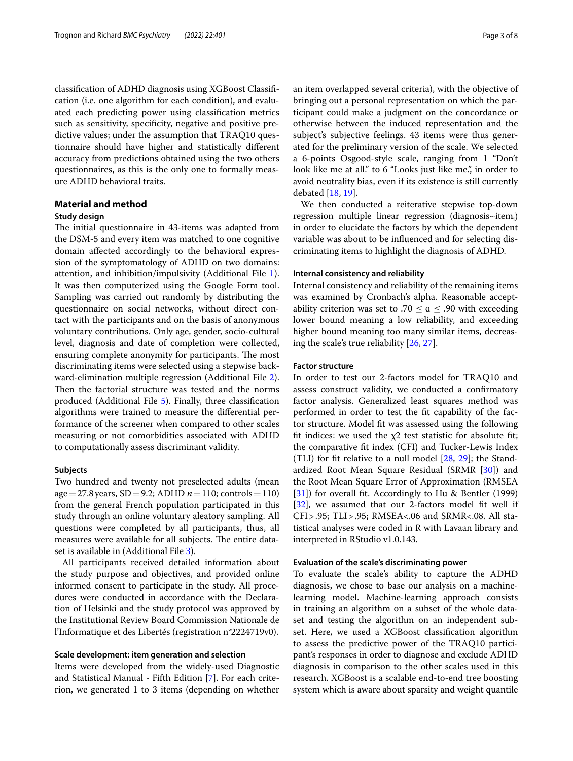classifcation of ADHD diagnosis using XGBoost Classifcation (i.e. one algorithm for each condition), and evaluated each predicting power using classifcation metrics such as sensitivity, specifcity, negative and positive predictive values; under the assumption that TRAQ10 questionnaire should have higher and statistically diferent accuracy from predictions obtained using the two others questionnaires, as this is the only one to formally measure ADHD behavioral traits.

# **Material and method**

# **Study design**

The initial questionnaire in 43-items was adapted from the DSM-5 and every item was matched to one cognitive domain afected accordingly to the behavioral expression of the symptomatology of ADHD on two domains: attention, and inhibition/impulsivity (Additional File [1](#page-6-10)). It was then computerized using the Google Form tool. Sampling was carried out randomly by distributing the questionnaire on social networks, without direct contact with the participants and on the basis of anonymous voluntary contributions. Only age, gender, socio-cultural level, diagnosis and date of completion were collected, ensuring complete anonymity for participants. The most discriminating items were selected using a stepwise backward-elimination multiple regression (Additional File [2](#page-6-11)). Then the factorial structure was tested and the norms produced (Additional File [5](#page-6-12)). Finally, three classifcation algorithms were trained to measure the diferential performance of the screener when compared to other scales measuring or not comorbidities associated with ADHD to computationally assess discriminant validity.

### **Subjects**

Two hundred and twenty not preselected adults (mean age=27.8years, SD=9.2; ADHD *n*=110; controls=110) from the general French population participated in this study through an online voluntary aleatory sampling. All questions were completed by all participants, thus, all measures were available for all subjects. The entire dataset is available in (Additional File [3](#page-6-13)).

All participants received detailed information about the study purpose and objectives, and provided online informed consent to participate in the study. All procedures were conducted in accordance with the Declaration of Helsinki and the study protocol was approved by the Institutional Review Board Commission Nationale de l'Informatique et des Libertés (registration n°2224719v0).

# **Scale development: item generation and selection**

Items were developed from the widely-used Diagnostic and Statistical Manual - Fifth Edition [[7\]](#page-6-5). For each criterion, we generated 1 to 3 items (depending on whether an item overlapped several criteria), with the objective of bringing out a personal representation on which the participant could make a judgment on the concordance or otherwise between the induced representation and the subject's subjective feelings. 43 items were thus generated for the preliminary version of the scale. We selected a 6-points Osgood-style scale, ranging from 1 "Don't look like me at all." to 6 "Looks just like me.", in order to avoid neutrality bias, even if its existence is still currently debated [[18](#page-7-6), [19\]](#page-7-7).

We then conducted a reiterative stepwise top-down regression multiple linear regression (diagnosis~item $_i$ ) in order to elucidate the factors by which the dependent variable was about to be infuenced and for selecting discriminating items to highlight the diagnosis of ADHD.

#### **Internal consistency and reliability**

Internal consistency and reliability of the remaining items was examined by Cronbach's alpha. Reasonable acceptability criterion was set to .70  $\le a \le$  .90 with exceeding lower bound meaning a low reliability, and exceeding higher bound meaning too many similar items, decreasing the scale's true reliability [[26](#page-7-13), [27\]](#page-7-14).

# **Factor structure**

In order to test our 2-factors model for TRAQ10 and assess construct validity, we conducted a confrmatory factor analysis. Generalized least squares method was performed in order to test the ft capability of the factor structure. Model ft was assessed using the following fit indices: we used the  $\chi$ 2 test statistic for absolute fit; the comparative ft index (CFI) and Tucker-Lewis Index (TLI) for fit relative to a null model  $[28, 29]$  $[28, 29]$  $[28, 29]$  $[28, 29]$ ; the Standardized Root Mean Square Residual (SRMR [\[30](#page-7-17)]) and the Root Mean Square Error of Approximation (RMSEA [[31\]](#page-7-18)) for overall ft. Accordingly to Hu & Bentler (1999) [[32\]](#page-7-19), we assumed that our 2-factors model fit well if CFI>.95; TLI>.95; RMSEA<.06 and SRMR<.08. All statistical analyses were coded in R with Lavaan library and interpreted in RStudio v1.0.143.

# **Evaluation of the scale's discriminating power**

To evaluate the scale's ability to capture the ADHD diagnosis, we chose to base our analysis on a machinelearning model. Machine-learning approach consists in training an algorithm on a subset of the whole dataset and testing the algorithm on an independent subset. Here, we used a XGBoost classifcation algorithm to assess the predictive power of the TRAQ10 participant's responses in order to diagnose and exclude ADHD diagnosis in comparison to the other scales used in this research. XGBoost is a scalable end-to-end tree boosting system which is aware about sparsity and weight quantile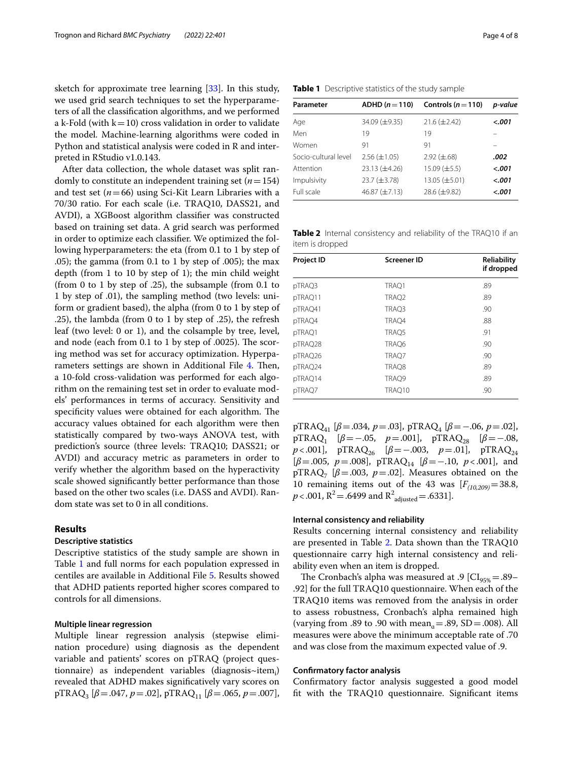sketch for approximate tree learning [[33\]](#page-7-20). In this study, we used grid search techniques to set the hyperparameters of all the classifcation algorithms, and we performed a k-Fold (with  $k=10$ ) cross validation in order to validate the model. Machine-learning algorithms were coded in Python and statistical analysis were coded in R and interpreted in RStudio v1.0.143.

After data collection, the whole dataset was split randomly to constitute an independent training set (*n*=154) and test set (*n*=66) using Sci-Kit Learn Libraries with a 70/30 ratio. For each scale (i.e. TRAQ10, DASS21, and AVDI), a XGBoost algorithm classifer was constructed based on training set data. A grid search was performed in order to optimize each classifer. We optimized the following hyperparameters: the eta (from 0.1 to 1 by step of .05); the gamma (from 0.1 to 1 by step of .005); the max depth (from 1 to 10 by step of 1); the min child weight (from 0 to 1 by step of .25), the subsample (from 0.1 to 1 by step of .01), the sampling method (two levels: uniform or gradient based), the alpha (from 0 to 1 by step of .25), the lambda (from 0 to 1 by step of .25), the refresh leaf (two level: 0 or 1), and the colsample by tree, level, and node (each from  $0.1$  to  $1$  by step of  $.0025$ ). The scoring method was set for accuracy optimization. Hyperpa-rameters settings are shown in Additional File [4](#page-6-14). Then, a 10-fold cross-validation was performed for each algorithm on the remaining test set in order to evaluate models' performances in terms of accuracy. Sensitivity and specificity values were obtained for each algorithm. The accuracy values obtained for each algorithm were then statistically compared by two-ways ANOVA test, with prediction's source (three levels: TRAQ10; DASS21; or AVDI) and accuracy metric as parameters in order to verify whether the algorithm based on the hyperactivity scale showed signifcantly better performance than those based on the other two scales (i.e. DASS and AVDI). Random state was set to 0 in all conditions.

# **Results**

### **Descriptive statistics**

Descriptive statistics of the study sample are shown in Table [1](#page-3-0) and full norms for each population expressed in centiles are available in Additional File [5](#page-6-12). Results showed that ADHD patients reported higher scores compared to controls for all dimensions.

# **Multiple linear regression**

Multiple linear regression analysis (stepwise elimination procedure) using diagnosis as the dependent variable and patients' scores on pTRAQ (project questionnaire) as independent variables (diagnosis~item $_{\rm i}$ ) revealed that ADHD makes signifcatively vary scores on  $pTRAQ_3 [\beta = .047, p = .02], pTRAQ_{11} [\beta = .065, p = .007],$ 

<span id="page-3-0"></span>

| Table 1 Descriptive statistics of the study sample |  |  |  |  |  |
|----------------------------------------------------|--|--|--|--|--|
|----------------------------------------------------|--|--|--|--|--|

| Parameter            | $ADHD (n=110)$      | Controls ( $n = 110$ ) | p-value |
|----------------------|---------------------|------------------------|---------|
| Age                  | 34.09 (±9.35)       | $21.6 (\pm 2.42)$      | < .001  |
| Men                  | 19                  | 19                     |         |
| Women                | 91                  | 91                     |         |
| Socio-cultural level | $2.56 \ (\pm 1.05)$ | $2.92 \ (\pm .68)$     | .002    |
| Attention            | $23.13 (\pm 4.26)$  | $15.09 \ (\pm 5.5)$    | < .001  |
| Impulsivity          | $23.7 (\pm 3.78)$   | $13.05 \ (\pm 5.01)$   | < .001  |
| Full scale           | 46.87 $(\pm 7.13)$  | 28.6 (±9.82)           | < .001  |

<span id="page-3-1"></span>**Table 2** Internal consistency and reliability of the TRAQ10 if an item is dropped

| <b>Project ID</b> | <b>Screener ID</b> | Reliability<br>if dropped |
|-------------------|--------------------|---------------------------|
| pTRAQ3            | TRAO1              | .89                       |
| pTRAQ11           | TRAQ2              | .89                       |
| pTRAQ41           | TRAO3              | .90                       |
| pTRAQ4            | TRAO4              | .88                       |
| pTRAQ1            | TRAQ5              | .91                       |
| pTRAQ28           | TRAQ6              | .90                       |
| pTRAQ26           | TRAQ7              | .90                       |
| pTRAQ24           | TRAQ8              | .89                       |
| pTRAQ14           | TRAQ9              | .89                       |
| pTRAQ7            | TRAQ10             | .90                       |

 $pTRAQ_{41}$  [ $\beta = .034$ ,  $p = .03$ ],  $pTRAQ_{4}$  [ $\beta = -.06$ ,  $p = .02$ ],  $pTRAQ_1$  [ $\beta$ =−.05,  $p$ =.001],  $pTRAQ_{28}$  [ $\beta$ =−.08,  $p < .001$ ], pTRAQ<sub>26</sub> [ $\beta = -.003$ ,  $p = .01$ ], pTRAQ<sub>24</sub> [*β*=.005, *p*=.008], pTRAQ14 [*β*=−.10, *p*<.001], and pTRAQ<sub>7</sub> [ $\beta$ =.003,  $p$ =.02]. Measures obtained on the 10 remaining items out of the 43 was  $[F_{(10,209)}=38.8,$  $p$  < .001, R<sup>2</sup> = .6499 and R<sup>2</sup><sub>adjusted</sub> = .6331].

#### **Internal consistency and reliability**

Results concerning internal consistency and reliability are presented in Table [2](#page-3-1). Data shown than the TRAQ10 questionnaire carry high internal consistency and reliability even when an item is dropped.

The Cronbach's alpha was measured at .9  $\left[CI_{95\%} = .89 - \right]$ .92] for the full TRAQ10 questionnaire. When each of the TRAQ10 items was removed from the analysis in order to assess robustness, Cronbach's alpha remained high (varying from .89 to .90 with mean<sub> $a$ </sub> = .89, SD = .008). All measures were above the minimum acceptable rate of .70 and was close from the maximum expected value of .9.

## **Confrmatory factor analysis**

Confrmatory factor analysis suggested a good model ft with the TRAQ10 questionnaire. Signifcant items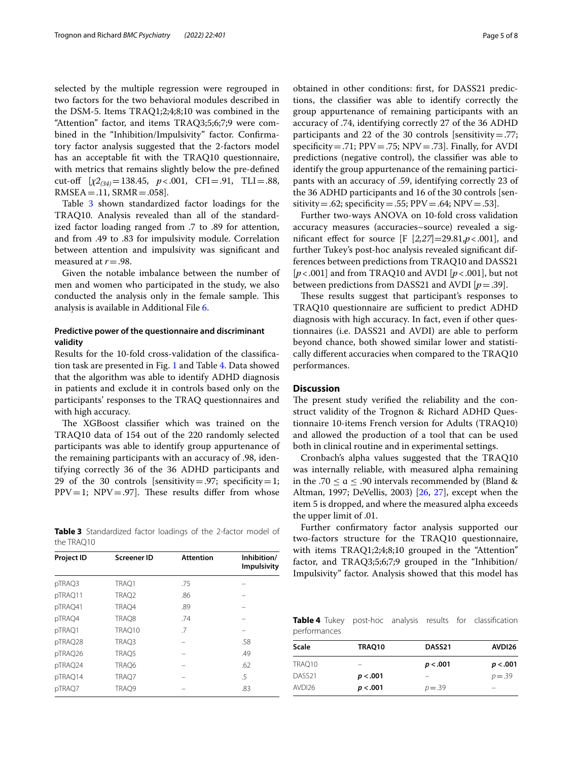selected by the multiple regression were regrouped in two factors for the two behavioral modules described in the DSM-5. Items TRAQ1;2;4;8;10 was combined in the "Attention" factor, and items TRAQ3;5;6;7;9 were combined in the "Inhibition/Impulsivity" factor. Confrmatory factor analysis suggested that the 2-factors model has an acceptable ft with the TRAQ10 questionnaire, with metrics that remains slightly below the pre-defned cut-of [*χ2(34)*=138.45, *p*<.001, CFI=.91, TLI=.88,  $RMSEA = .11, SRMR = .058$ .

Table [3](#page-4-0) shown standardized factor loadings for the TRAQ10. Analysis revealed than all of the standardized factor loading ranged from .7 to .89 for attention, and from .49 to .83 for impulsivity module. Correlation between attention and impulsivity was signifcant and measured at *r*=.98.

Given the notable imbalance between the number of men and women who participated in the study, we also conducted the analysis only in the female sample. This analysis is available in Additional File [6](#page-6-15).

# **Predictive power of the questionnaire and discriminant validity**

Results for the 10-fold cross-validation of the classifcation task are presented in Fig. [1](#page-5-0) and Table [4](#page-4-1). Data showed that the algorithm was able to identify ADHD diagnosis in patients and exclude it in controls based only on the participants' responses to the TRAQ questionnaires and with high accuracy.

The XGBoost classifier which was trained on the TRAQ10 data of 154 out of the 220 randomly selected participants was able to identify group appurtenance of the remaining participants with an accuracy of .98, identifying correctly 36 of the 36 ADHD participants and 29 of the 30 controls [sensitivity = .97; specificity = 1;  $PPV=1$ ;  $NPV=.97$ ]. These results differ from whose

<span id="page-4-0"></span>**Table 3** Standardized factor loadings of the 2-factor model of the TRAQ10

| Project ID | <b>Screener ID</b> | <b>Attention</b> | Inhibition/<br><b>Impulsivity</b> |
|------------|--------------------|------------------|-----------------------------------|
| pTRAQ3     | TRAQ1              | .75              |                                   |
| pTRAQ11    | TRAQ2              | .86              |                                   |
| pTRAQ41    | TRAQ4              | .89              |                                   |
| pTRAQ4     | TRAQ8              | .74              |                                   |
| pTRAQ1     | TRAQ10             | .7               |                                   |
| pTRAQ28    | TRAQ3              |                  | .58                               |
| pTRAQ26    | TRAQ5              |                  | .49                               |
| pTRAQ24    | TRAQ6              |                  | .62                               |
| pTRAQ14    | TRAQ7              |                  | .5                                |
| pTRAQ7     | TRAQ9              |                  | .83                               |
|            |                    |                  |                                   |

obtained in other conditions: frst, for DASS21 predictions, the classifer was able to identify correctly the group appurtenance of remaining participants with an accuracy of .74, identifying correctly 27 of the 36 ADHD participants and 22 of the 30 controls [sensitivity=.77; specificity = .71;  $PPV = .75$ ;  $NPV = .73$ . Finally, for AVDI predictions (negative control), the classifer was able to identify the group appurtenance of the remaining participants with an accuracy of .59, identifying correctly 23 of the 36 ADHD participants and 16 of the 30 controls [sensitivity = .62; specificity = .55;  $PPV = .64$ ;  $NPV = .53$ ].

Further two-ways ANOVA on 10-fold cross validation accuracy measures (accuracies~source) revealed a signifcant efect for source [F [*2,27*]=29.81,*p*<.001], and further Tukey's post-hoc analysis revealed signifcant differences between predictions from TRAQ10 and DASS21 [*p*<.001] and from TRAQ10 and AVDI [*p*<.001], but not between predictions from DASS21 and AVDI [*p*=.39].

These results suggest that participant's responses to TRAQ10 questionnaire are sufficient to predict ADHD diagnosis with high accuracy. In fact, even if other questionnaires (i.e. DASS21 and AVDI) are able to perform beyond chance, both showed similar lower and statistically diferent accuracies when compared to the TRAQ10 performances.

# **Discussion**

The present study verified the reliability and the construct validity of the Trognon & Richard ADHD Questionnaire 10-items French version for Adults (TRAQ10) and allowed the production of a tool that can be used both in clinical routine and in experimental settings.

Cronbach's alpha values suggested that the TRAQ10 was internally reliable, with measured alpha remaining in the .70  $\le a \le .90$  intervals recommended by (Bland & Altman, 1997; DeVellis, 2003) [[26](#page-7-13), [27\]](#page-7-14), except when the item 5 is dropped, and where the measured alpha exceeds the upper limit of .01.

Further confrmatory factor analysis supported our two-factors structure for the TRAQ10 questionnaire, with items TRAQ1;2;4;8;10 grouped in the "Attention" factor, and TRAQ3;5;6;7;9 grouped in the "Inhibition/ Impulsivity" factor. Analysis showed that this model has

<span id="page-4-1"></span>**Table 4** Tukey post-hoc analysis results for classification performances

| Scale              | TRAO10   | DASS <sub>21</sub> | AVDI26                   |
|--------------------|----------|--------------------|--------------------------|
| TRAO10             | -        | p < .001           | p < .001                 |
| DASS <sub>21</sub> | p < .001 | -                  | $p = 0.39$               |
| AVDI26             | p < .001 | $p = 0.39$         | $\overline{\phantom{0}}$ |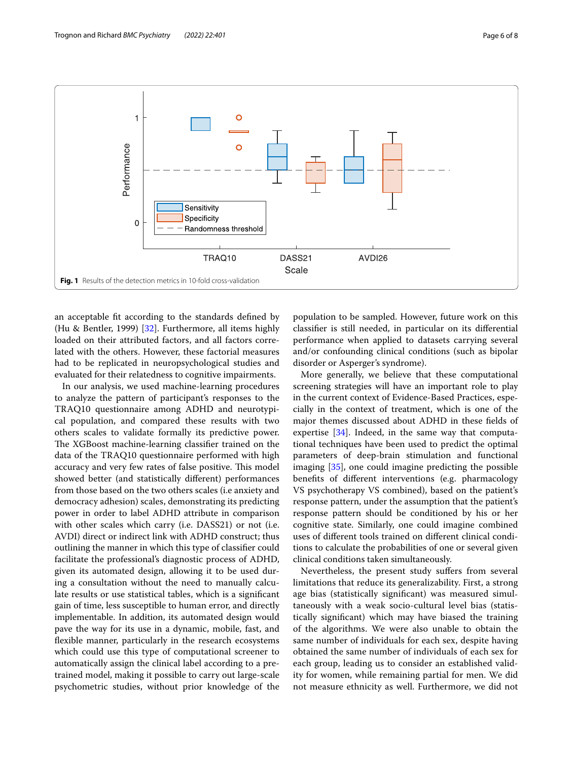

<span id="page-5-0"></span>an acceptable ft according to the standards defned by (Hu & Bentler, 1999) [\[32](#page-7-19)]. Furthermore, all items highly loaded on their attributed factors, and all factors correlated with the others. However, these factorial measures had to be replicated in neuropsychological studies and evaluated for their relatedness to cognitive impairments.

In our analysis, we used machine-learning procedures to analyze the pattern of participant's responses to the TRAQ10 questionnaire among ADHD and neurotypical population, and compared these results with two others scales to validate formally its predictive power. The XGBoost machine-learning classifier trained on the data of the TRAQ10 questionnaire performed with high accuracy and very few rates of false positive. This model showed better (and statistically diferent) performances from those based on the two others scales (i.e anxiety and democracy adhesion) scales, demonstrating its predicting power in order to label ADHD attribute in comparison with other scales which carry (i.e. DASS21) or not (i.e. AVDI) direct or indirect link with ADHD construct; thus outlining the manner in which this type of classifer could facilitate the professional's diagnostic process of ADHD, given its automated design, allowing it to be used during a consultation without the need to manually calculate results or use statistical tables, which is a signifcant gain of time, less susceptible to human error, and directly implementable. In addition, its automated design would pave the way for its use in a dynamic, mobile, fast, and fexible manner, particularly in the research ecosystems which could use this type of computational screener to automatically assign the clinical label according to a pretrained model, making it possible to carry out large-scale psychometric studies, without prior knowledge of the population to be sampled. However, future work on this classifer is still needed, in particular on its diferential performance when applied to datasets carrying several and/or confounding clinical conditions (such as bipolar disorder or Asperger's syndrome).

More generally, we believe that these computational screening strategies will have an important role to play in the current context of Evidence-Based Practices, especially in the context of treatment, which is one of the major themes discussed about ADHD in these felds of expertise  $[34]$  $[34]$ . Indeed, in the same way that computational techniques have been used to predict the optimal parameters of deep-brain stimulation and functional imaging [\[35](#page-7-22)], one could imagine predicting the possible benefts of diferent interventions (e.g. pharmacology VS psychotherapy VS combined), based on the patient's response pattern, under the assumption that the patient's response pattern should be conditioned by his or her cognitive state. Similarly, one could imagine combined uses of diferent tools trained on diferent clinical conditions to calculate the probabilities of one or several given clinical conditions taken simultaneously.

Nevertheless, the present study suffers from several limitations that reduce its generalizability. First, a strong age bias (statistically signifcant) was measured simultaneously with a weak socio-cultural level bias (statistically signifcant) which may have biased the training of the algorithms. We were also unable to obtain the same number of individuals for each sex, despite having obtained the same number of individuals of each sex for each group, leading us to consider an established validity for women, while remaining partial for men. We did not measure ethnicity as well. Furthermore, we did not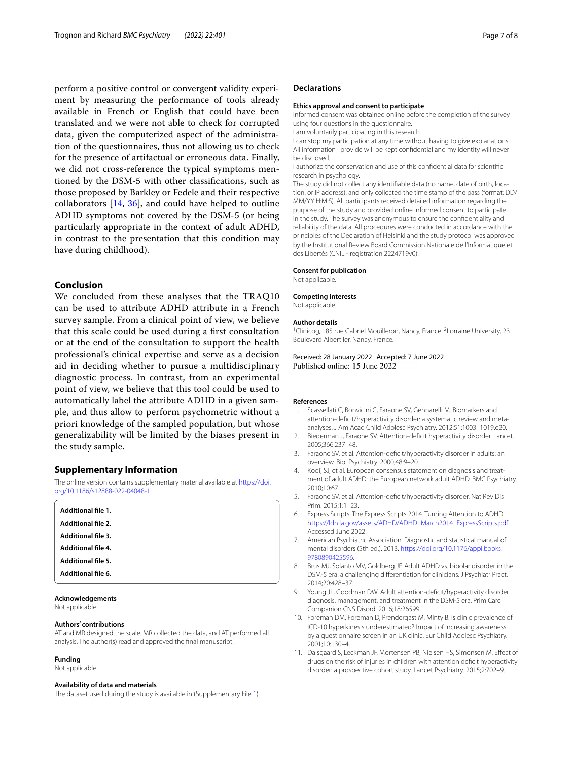perform a positive control or convergent validity experiment by measuring the performance of tools already available in French or English that could have been translated and we were not able to check for corrupted data, given the computerized aspect of the administration of the questionnaires, thus not allowing us to check for the presence of artifactual or erroneous data. Finally, we did not cross-reference the typical symptoms mentioned by the DSM-5 with other classifcations, such as those proposed by Barkley or Fedele and their respective collaborators [\[14](#page-7-2), [36\]](#page-7-23), and could have helped to outline ADHD symptoms not covered by the DSM-5 (or being particularly appropriate in the context of adult ADHD, in contrast to the presentation that this condition may have during childhood).

# **Conclusion**

We concluded from these analyses that the TRAQ10 can be used to attribute ADHD attribute in a French survey sample. From a clinical point of view, we believe that this scale could be used during a frst consultation or at the end of the consultation to support the health professional's clinical expertise and serve as a decision aid in deciding whether to pursue a multidisciplinary diagnostic process. In contrast, from an experimental point of view, we believe that this tool could be used to automatically label the attribute ADHD in a given sample, and thus allow to perform psychometric without a priori knowledge of the sampled population, but whose generalizability will be limited by the biases present in the study sample.

#### **Supplementary Information**

The online version contains supplementary material available at [https://doi.](https://doi.org/10.1186/s12888-022-04048-1) [org/10.1186/s12888-022-04048-1](https://doi.org/10.1186/s12888-022-04048-1).

<span id="page-6-14"></span><span id="page-6-13"></span><span id="page-6-12"></span><span id="page-6-11"></span><span id="page-6-10"></span>

| Additional file 1.        |  |  |
|---------------------------|--|--|
| <b>Additional file 2.</b> |  |  |
| <b>Additional file 3.</b> |  |  |
| <b>Additional file 4.</b> |  |  |
| <b>Additional file 5.</b> |  |  |
| Additional file 6.        |  |  |
|                           |  |  |

## <span id="page-6-15"></span>**Acknowledgements**

Not applicable.

#### **Authors' contributions**

AT and MR designed the scale. MR collected the data, and AT performed all analysis. The author(s) read and approved the fnal manuscript.

#### **Funding**

Not applicable.

#### **Availability of data and materials**

The dataset used during the study is available in (Supplementary File [1\)](#page-6-10).

#### **Declarations**

#### **Ethics approval and consent to participate**

Informed consent was obtained online before the completion of the survey using four questions in the questionnaire.

I am voluntarily participating in this research

I can stop my participation at any time without having to give explanations All information I provide will be kept confdential and my identity will never be disclosed.

I authorize the conservation and use of this confdential data for scientifc research in psychology.

The study did not collect any identifable data (no name, date of birth, location, or IP address), and only collected the time stamp of the pass (format: DD/ MM/YY H:M:S). All participants received detailed information regarding the purpose of the study and provided online informed consent to participate in the study. The survey was anonymous to ensure the confdentiality and reliability of the data. All procedures were conducted in accordance with the principles of the Declaration of Helsinki and the study protocol was approved by the Institutional Review Board Commission Nationale de l'Informatique et des Libertés (CNIL - registration 2224719v0).

#### **Consent for publication**

Not applicable.

#### **Competing interests**

Not applicable.

#### **Author details**

<sup>1</sup> Clinicog, 185 rue Gabriel Mouilleron, Nancy, France. <sup>2</sup> Lorraine University, 23 Boulevard Albert Ier, Nancy, France.

Received: 28 January 2022 Accepted: 7 June 2022 Published online: 15 June 2022

#### **References**

- <span id="page-6-0"></span>Scassellati C, Bonvicini C, Faraone SV, Gennarelli M. Biomarkers and attention-defcit/hyperactivity disorder: a systematic review and metaanalyses. J Am Acad Child Adolesc Psychiatry. 2012;51:1003–1019.e20.
- <span id="page-6-1"></span>2. Biederman J, Faraone SV. Attention-defcit hyperactivity disorder. Lancet. 2005;366:237–48.
- 3. Faraone SV, et al. Attention-deficit/hyperactivity disorder in adults: an overview. Biol Psychiatry. 2000;48:9–20.
- <span id="page-6-2"></span>4. Kooij SJ, et al. European consensus statement on diagnosis and treatment of adult ADHD: the European network adult ADHD. BMC Psychiatry. 2010;10:67.
- <span id="page-6-3"></span>5. Faraone SV, et al. Attention-defcit/hyperactivity disorder. Nat Rev Dis Prim. 2015;1:1–23.
- <span id="page-6-4"></span>6. Express Scripts. The Express Scripts 2014. Turning Attention to ADHD. [https://ldh.la.gov/assets/ADHD/ADHD\\_March2014\\_ExpressScripts.pdf](https://ldh.la.gov/assets/ADHD/ADHD_March2014_ExpressScripts.pdf). Accessed June 2022.
- <span id="page-6-5"></span>7. American Psychiatric Association. Diagnostic and statistical manual of mental disorders (5th ed.). 2013. [https://doi.org/10.1176/appi.books.](https://doi.org/10.1176/appi.books.9780890425596) [9780890425596](https://doi.org/10.1176/appi.books.9780890425596).
- <span id="page-6-6"></span>8. Brus MJ, Solanto MV, Goldberg JF. Adult ADHD vs. bipolar disorder in the DSM-5 era: a challenging diferentiation for clinicians. J Psychiatr Pract. 2014;20:428–37.
- <span id="page-6-7"></span>9. Young JL, Goodman DW. Adult attention-defcit/hyperactivity disorder diagnosis, management, and treatment in the DSM-5 era. Prim Care Companion CNS Disord. 2016;18:26599.
- <span id="page-6-8"></span>10. Foreman DM, Foreman D, Prendergast M, Minty B. Is clinic prevalence of ICD-10 hyperkinesis underestimated? Impact of increasing awareness by a questionnaire screen in an UK clinic. Eur Child Adolesc Psychiatry. 2001;10:130–4.
- <span id="page-6-9"></span>11. Dalsgaard S, Leckman JF, Mortensen PB, Nielsen HS, Simonsen M. Efect of drugs on the risk of injuries in children with attention defcit hyperactivity disorder: a prospective cohort study. Lancet Psychiatry. 2015;2:702–9.